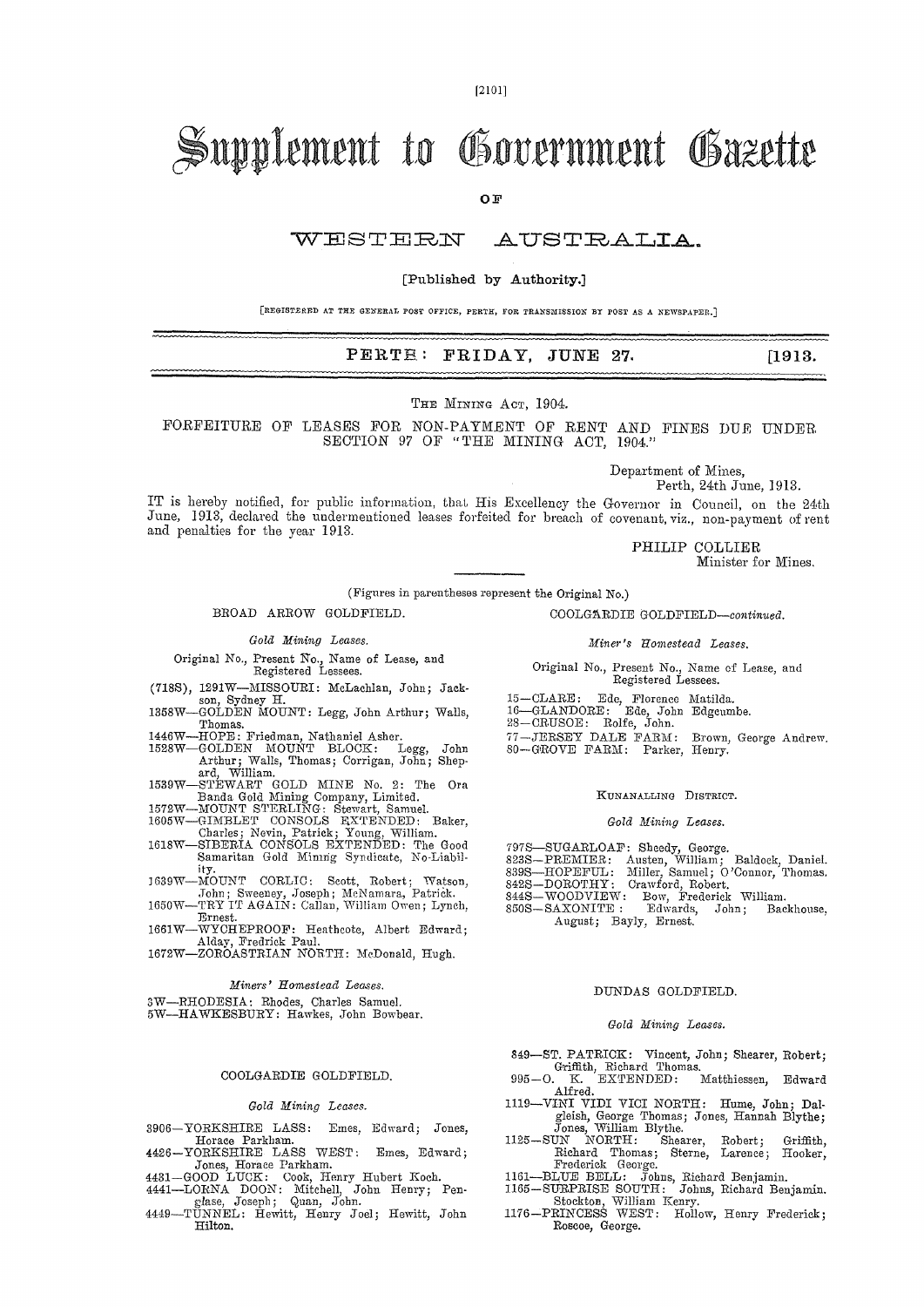# Supplement to Government Gazette

OF

#### WESTERN AUSTRALIA.

#### [Published by Authority.]

[REGISTERED AT THE GENERAL POST OFFICE, PERTH, FOR TRANSMISSION BY POST AS A NEWSPAPER.]

#### PERTE: FRIDAY, JUNE 27.  $[1913.$

THE MINING ACT, 1904.

FORFEITURE OF LEASES FOR NON-PATMENT OF RENT AND FINES DUE UNDER SECTION 97 OF "THE MINING ACT, 1904."

Department of Mines.

Perth, 24th June, 1913.

IT is hereby notified, for public information, that His Excellency the Governor in Council, on the 24th June, 1913, declared the undermentioned leases forfeited for breach of covenant, viz., non-payment of rent and penalties for the year 1913.

> PHILIP COLLIER Minister for Mines.

(Figures in parentheses represent the Original No.)

BROAD ARROW GOLDFIELD.

#### Gold Mining Leases.

Original No., Present No., Name of Lease, and Registered Lessees.

- (718S), 1291W-MISSOURI: McLachlan, John; Jack-
- son, Sydney H.<br>GOLDEN MOUNT: Legg, John Arthur; Walls, 1358W-Thomas.
- 1446W-
- Thomas.<br>-HOPE: Friedman, Nathaniel Asher.<br>-GOLDEN MOUNT BLOCK: Legg, John<br>Arthur; Walls, Thomas; Corrigan, John; Shep-<br>ard, William. 1528W
- ard, William.<br>-STEWART GOLD MINE No. 2: The Ora<br>Banda Gold Mining Company, Limited.<br>-MOUNT STERLING: Stewart, Samuel.<br>-GIMBLET CONSOLS EXTENDED: The Good<br>-SIBERIA CONSOLS EXTENDED: The Good<br>-SIBERIA CONSOLS EXTENDED: The G 1539W
- 1572W-
- 1605W-
- 1618W-Samaritan Gold Minnig Syndicate, No-Liabil-
- ity "Vy.<br>John; Sweeney, Joseph; McNamara, Patrick.<br>-TRY IT AGAIN: Callan, William Owen; Lynch, 1639W-
- 1650W-Ernest.
- 1661W-WYCHEPROOF: Heathcote, Albert Edward;<br>Alday, Fredrick Paul.<br>1672W-ZOROASTRIAN NORTH: McDonald, Hugh.
- 

#### Miners' Homestead Leases.

3W-RHODESIA: Rhodes, Charles Samuel.<br>5W-HAWKESBURY: Hawkes, John Bowbear.

#### COOLGARDIE GOLDFIELD.

#### Gold Mining Leases.

- 3906-YORKSHIRE LASS: Emes, Edward; Jones,
- 

- 3906-YORKSHIRE LASS: Emes, Euranu, Journ, 1976-YORKSHIRE LASS WEST: Emes, Edward;<br>4426-YORKSHIRE LASS WEST: Emes, Edward;<br>Jones, Horace Parkham.<br>4431-GOOD LUCK: Cook, Henry Hubert Koch.<br>4441-LORNA DOON: Mitchell, John Henr
- Hilton.

COOLGARDIE GOLDFIELD-continued. Miner's Homestead Leases.

Original No., Present No., Name of Lease, and Registered Lessees.

- 15-CLARE: Ede, Florence Matilda.<br>16-GLANDORE: Ede, John Edgeumbe.<br>28-CRUSOE: Rolfe, John.
- 
- 
- 77-JERSEY DALE FARM: Brown,<br>80-GROVE FARM: Parker, Henry. Brown, George Andrew.

#### KUNANALLING DISTRICT.

#### Gold Mining Leases.

- 
- 797S-SUGARLOAF: Sheedy, George.<br>823S-PREMIER: Austen, William; Baldock, Daniel.<br>839S-HOPEFUL: Miller, Samuel; O'Connor, Thomas.
- 
- 
- Backhouse,
- 8328-DOROTHY: Crawford, Robert.<br>
8428-WOODVIEW: Eow, Frederick William.<br>
8508-SAXONITE: Edwards, John; Bac.<br>
August; Bayly, Ernest.

#### DUNDAS GOLDFIELD.

#### Gold Mining Leases.

- 849-ST. PATRICK: Vincent, John; Shearer, Robert;<br>
Griffith, Richard Thomas.<br>
995-O. K. EXTENDED: Matthiessen, Edward
- Alfred.
- -VINI VIDI VICI NORTH: Hume, John; Dal-1119gleish, George Thomas; Jones, Hannah Blythe;<br>Jones, William Blythe.<br>UN NORTH: Shearer, Robert; Griffith,
- $1125 \mathrm{SUN}$ 1125-SUN NORTH: Shearer, Kobert; Grimtn,<br>
Richard Thomas; Sterne, Larence; Hooker,<br>
Frederick George.<br>
1161--BLUE BELL: Johns, Richard Benjamin.<br>
1165-SURPRISE SOUTH: Johns, Richard Benjamin.<br>
Stockton, William Kenry.<br>
117
- 
- 
- Roscoe, George.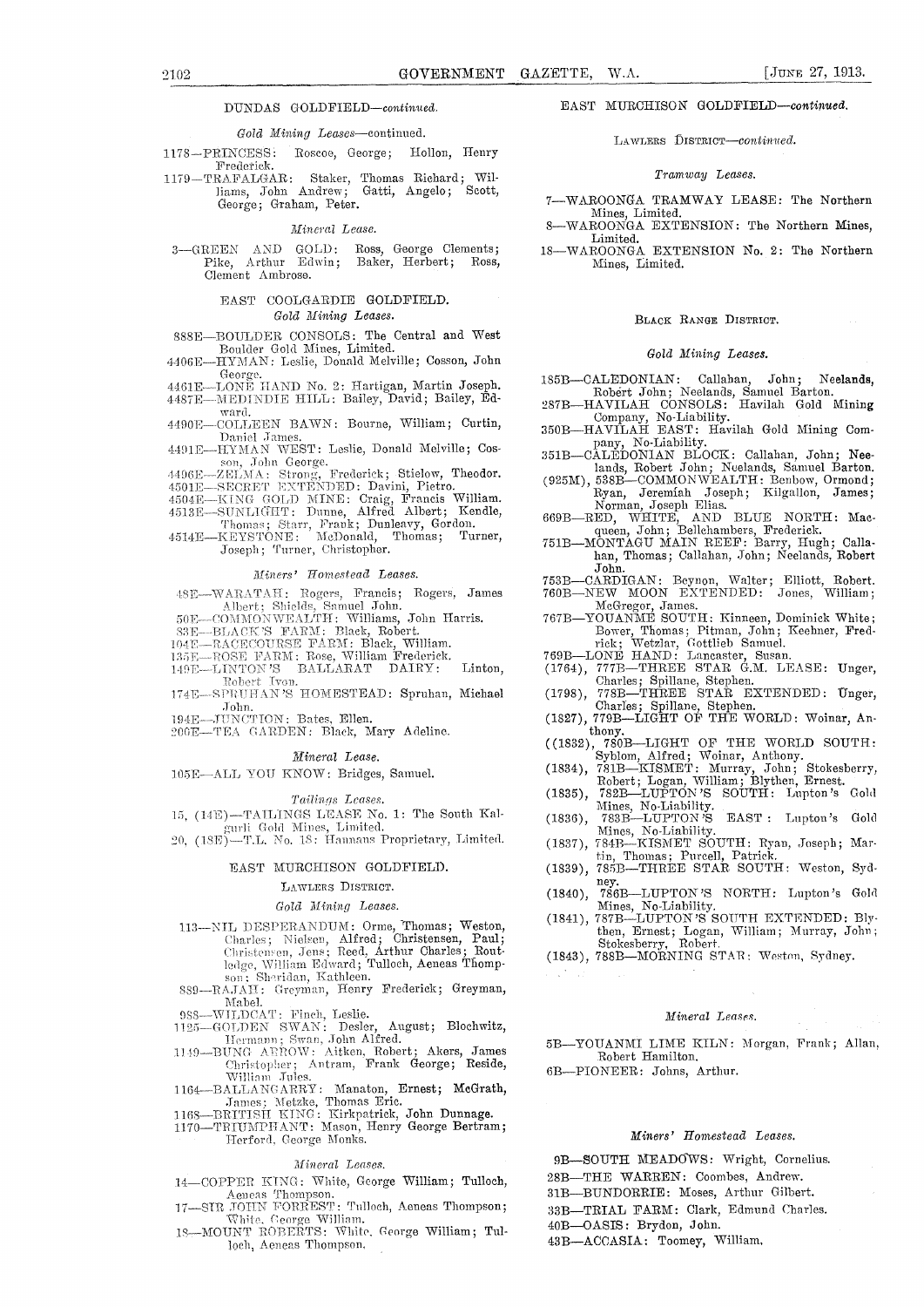#### DUNDAS GOLDFIELD-continued.

#### Gold Mining Leases-continued.

 $1178 - PRINCESS;$ Roscoe, George; Hollon, Henry Frederick.

TRAFALGAR: Staker, Thomas Richard; Wil-<br>RAFALGAR: Staker, Thomas Richard; Wil- $1179 - \mathrm{TRAFALGAR}$ : Scott, George; Graham, Peter.

#### Mineral Lease.

3-GREEN AND GOLD: Ross, George Clements;<br>Pike, Arthur Edwin; Baker, Herbert; Ross, Clement Ambrose.

#### EAST COOLGARDIE GOLDFIELD. Gold Mining Leases.

- 888E-BOULDER CONSOLS: The Central and West Boulder Gold Mines, Limited.<br>-HYMAN: Leslie, Donald Melville; Cosson, John 4406E
- George
- 4461E-LONE HAND No. 2: Hartigan, Martin Joseph.<br>4487E-MEDINDIE HILL: Bailey, David; Bailey, Ed-
- ward 4490E-COLLEEN BAWN: Bourne, William; Curtin,
- Daniel James.<br>4491E-HYMAN WEST: Leslie, Donald Melville; Cos-
- 4491E—HXMAN WEST: Lesne, Donald Melvine; Cos-<br>
son, John Georg.<br>
4496E—ZELMA: Strong, Frederick; Stielow, Theodor.<br>
4501E—SECRET EXTENDED: Davini, Pietro.<br>
4504E—KING GOLD MINE: Craig, Francis William.<br>
4513E—SUNLIGHT: Dun
- 
- 
- 
- Joseph; Turner, Christopher.

#### Miners' Homestead Leases.

- 48E-WARATAH: Rogers, Francis; Rogers, James
- 48E—WARATAH: Rogers, Francis; Rogers, James<br>
Albert; Shields, Samuel John.<br>
50E—COMMONWEALTH: Williams, John Harris.<br>
83E—BLACK'S FARM: Black, Robert.<br>
104E—RACECOURSE FARM: Black, William.<br>
135E—ROSE FARM: Rose, William F
- 
- 
- 
- 
- John.
- 194E-JUNCTION: Bates, Ellen.
- 200E-TEA GARDEN: Black, Mary Adeline.

#### Mineral Lease.

105E-ALL YOU KNOW: Bridges, Samuel.

#### Tailings Leases.

- 15, (14E)-TAILINGS LEASE No. 1: The South Kalgurli Gold Mines, Limited.<br>20, (18E)-T.L. No. 18: Hannans Proprietary, Limited.
- 

#### EAST MURCHISON GOLDFIELD.

#### LAWLERS DISTRICT.

#### Gold Mining Leases.

- 113-NIL DESPERANDUM: Orme, Thomas; Weston, Charles; Nielsen, Alfred; Christensen, Paul; Christensen, Jens; Reed, Arthur Charles; Routledge, William Edward; Tulloch, Aeneas Thompson; Sheridan, Kathleen. S89-RAJAH: Greyman,
- Mabel.
- 
- 
- Mabel.<br>
988—WILDCAT: Finch, Leslie.<br>
1125—GOLDEN SWAN: Desler, August; Blochwitz,<br>
Hermann; Swan, John Alfred.<br>
1149—BUNG AEROW: Aitken, Robert; Akers, James<br>
Christopher; Antram, Frank George; Reside,<br>
William Jules.<br>
112
- 1164—BALLANGARRY: Manaton, Ernest; McGrath, James; Metzke, Thomas Eric.<br>1168—BRITISH KING: Kirkpatrick, John Dunnage.<br>1170—TRIUMPHANT: Mason, Henry George Bertram;
- 
- Herford, George Monks.

#### Mineral Leases.

- 14-COPPER KING: White, George William; Tulloch,
- Aeneas Thompson.<br>17-SIR JOHN FORREST: Tulloch, Aeneas Thompson;<br>18-MOUNT ROBERTS: White, George William.<br>18-MOUNT ROBERTS: White, George William; Tul-
- loch, Aeneas Thompson,

#### EAST MURCHISON GOLDFIELD-continued.

#### LAWLERS DISTRICT-continued.

#### Tramway Leases.

- 7-WAROONGA TRAMWAY LEASE: The Northern Mines, Limited.
- WAROONGA EXTENSION: The Northern Mines, Limited.
- 18-WAROONGA EXTENSION No. 2: The Northern Mines, Limited.

#### BLACK RANGE DISTRICT.

#### Gold Mining Leases.

- Neelands, 185B-CALEDONIAN: Callahan,  $John;$ Robert John; Neelands, Samuel Barton.<br>-HAVILAH CONSOLS: Havilah Gold Mining
- 287B-Company, No-Liability.<br>
350B-HAVILAH EAST: Havilah Gold Mining Com-
- Pany, No-Liability.<br>
351B—CALEDONIAN BLOCK: Callahan, John; Neelands, Robert John; Neelands, Samuel Barton.<br>
(925M), 538B—COMMONWEALTH: Benbow, Ormond; Ryan, Jeremiah Joseph; Kilgallon, James;
- -
- 
- Norman, Joseph Elias.<br>
669B—RED, WHITE, AND BLUE NORTH: Macqueen, John; Bellchambers, Frederick.<br>
751B—MONTAGU MAIN REEF: Barry, Hugh; Calla-<br>
han, Thomas; Callahan, John; Neelands, Robert John.
- 753B-CARDIGAN: Beynon, Walter; Elliott, Robert.<br>760B-NEW MOON EXTENDED: Jones, William;
	-
- MeGregor, James.<br>767B—YOUANME SOUTH: Kinneen, Dominick White; Bower, Thomas; Pitman, John; Keehner, Fredrick; Wetzlar, Gottlieb Samuel.<br>
769B—LONE HAND: Lancaster, Susan.<br>
(1764), 777B—THREE STAR G.M. LEASE: Unger,
- 
- 
- (1764), 777E—THREE STAR G.M. LEASE: Unger,<br>Charles; Spillane, Stephen.<br>(1798), 778E—THREE STAR EXTENDED: Unger,<br>Charles; Spillane, Stephen.<br>(1827), 779B—LIGHT OF THE WORLD: Woinar, An-
- 
- 
- 
- Mines, No-Liability. Social Lupton's Gold<br>783B—LUPTON'S EAST : Lupton's Gold
- $(1836),$
- (1837), Mines, No-Liability.<br>
(1837), 784B—KISMET SOUTH: Ryan, Joseph; Martin, Thomas; Purcell, Patrick.<br>
(1839), 785B—THREE STAR SOUTH: Weston, Syd-
- nev  $(1840),$ 786B-LUPTON'S NORTH: Lupton's Gold
- Mines, No-Liability. Terms and the Northern Barbon of Series (1997).  $(1841),$
- then, Ernest; Logan, William; Murray, John;<br>Stokesberry, Robert. Stokesberry, Robert.<br>
(1843), 788B-MORNING STAR: Weston, Sydney.
- 

#### Mineral Leases.

5B-YOUANMI LIME KILN: Morgan, Frank; Allan, Robert Hamilton.

6B-PIONEER: Johns, Arthur.

#### Miners' Homestead Leases.

9B-SOUTH MEADOWS: Wright, Cornelius. 28B-THE WARREN: Coombes, Andrew. 31B-BUNDORRIE: Moses, Arthur Gilbert.

- 33B-TRIAL FARM: Clark, Edmund Charles.
- 40B-OASIS: Brydon, John.
- 43B-ACCASIA: Toomey, William.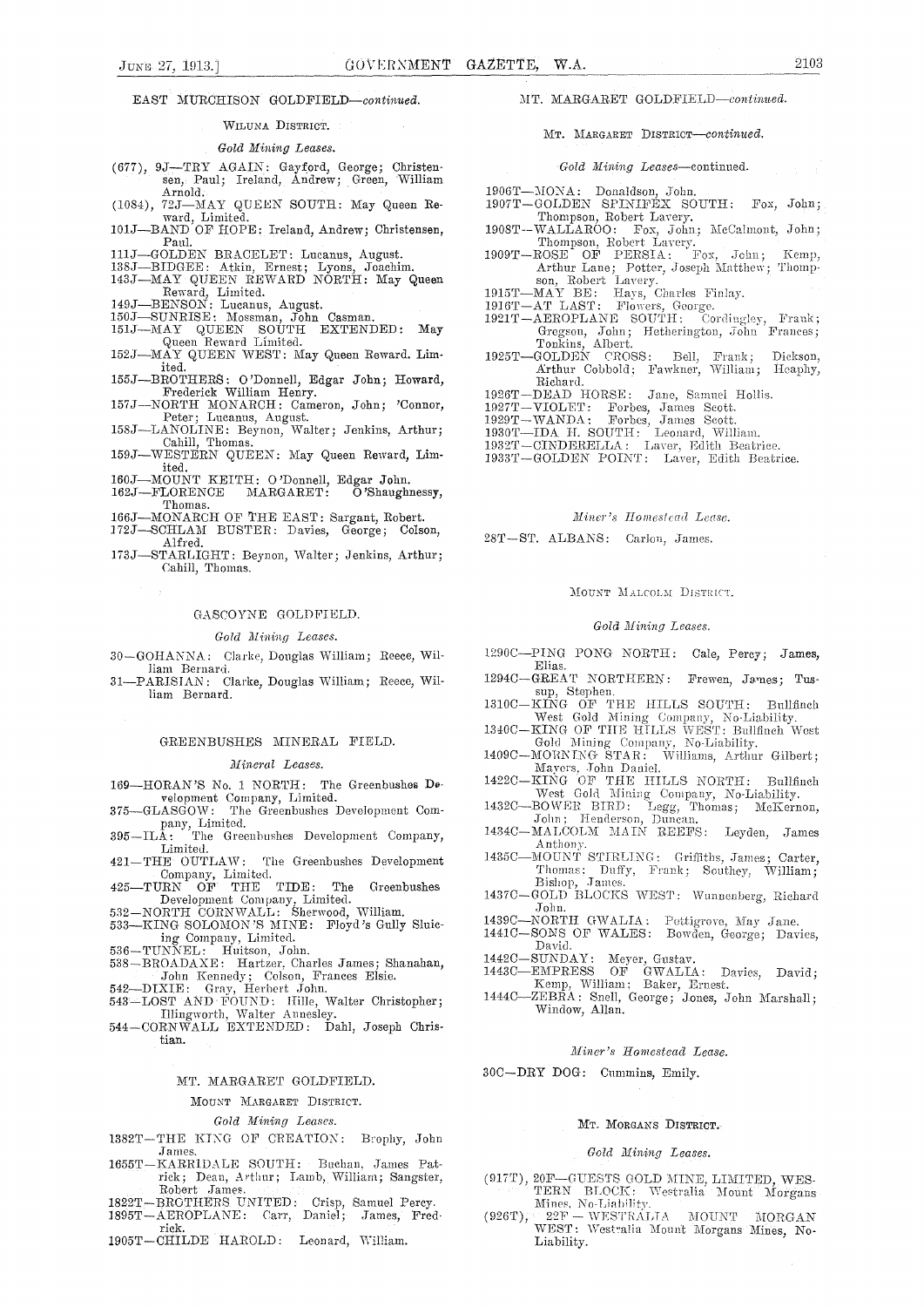EAST MURCHISON GOLDFIELD-continued.

#### WILUNA DISTRICT.

*Gold Mining Leases.* 

- (677), 9J—TRY AGAIN: Gayford, George; Christen-sen, Paul; Ireland, Andrew; Green, William Arnold.
- (1084), 72J—MAY QUEEN SOUTH: May Queen Reward, Limited.
- 101J—BAND OF HOPE: Ireland, Andrew; Christensen, Paul.
- 
- 
- 111J—GOLDEN BRACELET: Lucanus, August. 138J—BIDGEE: Atkin, Ernest; Lyons, Joachim. 143J—MAY QUEEN REWARD NORTH: May Queen Reward, Limited.
- 
- 
- 149J—BENSON: Lucanus, August. 150J—SUNRISE: Mossman, John Casman. 151J—MAY QUEEN SOUTH EXTENDED: May Queen Reward Limited.
- 152J—MAY QUEEN WEST: May Queen Reward. Limited.
- 155J—BROTHERS: O'Donnell, Edgar John; Howard, Frederick William Henry. 157J—NORTH MONARCH: Cameron, John; 'Connor,
- 
- Peter; Lucanus, August. 158J—LANOLINE: Beynon, Walter; Jenkins, Arthur; Cahill, Thomas.
- 159J:—WESTERN QUEEN: May Queen Reward, Limited.
- 160J—MOUNT KEITH: O'Donnell, Edgar John. 162J—FLORENCE MARGARET: 0 'Shaughnessy,
- Thomas.
- 166J—MONARCH OF THE EAST: Sargant, Robert.
- l72J—SCHLAA.I BUSTER: Davies, George; Colson,
- Alfred. 173J—STARLIGHT: Beynon, Walter; Jenkins, Arthur; Cahill, Thomas.

#### GASCOYNE GOLDFIELD.

#### *Gold Alining Leases.*

30—GOHANNA: Clarke, Douglas William; Reece, William Bernard.

31—PARISIAN: Clarke, Douglas William; Reece, William Bernard.

#### GREENBUSHES MINERAL FIELD.

*Mineral Leases.* 

- 169—HORAN'S No. 1 NORTH: The Greenbushes Development Company, Limited.
- 375—GLASGOW: The Greenbushes Development Com-
- pany, Limited. 395—ILA: The Greenbushes Development Company, Limited.
- 421—THE OUTLAW: The Greenbushes Development
- Company, Limited. 425—TURN OF THE TIDE: The Greenbushes Development Company, Limited.
- 
- 532—NORTH CORNWALL: Sherwood, William. 533—KING SOLOMON'S MINE: Floyd's Gully Sluic-
- 
- ing Company, Limited.<br>
536—TUNNEL: Huitson, John.<br>
538—BROADAXE: Hartzer, Charles James; Shanahan,<br>
John Kennedy; Colson, Frances Elsie.<br>
542—DIXIE: Gray, Herbert John.<br>
543—LOST AND FOUND: Hille, Walter Christopher;
- 
- Illingworth, Walter Annesley.
- 544—CORNWALL EXTENDED: Dahl, Joseph Christian.

#### MT. MARGARET GOLDFIELD.

MOUNT MARGARET DISTRICT.

*Gold Mining Leases.* 

- 1382T—THE KING OE CREATION: Brophy, John James.
- 1655T—KARRIDALE SOUTH: Buchan, James Patrick; Dean, Arthur; Lamb, William; Sangster, Robert James.
- 1822'1'–BROTHERS UNITED: Crisp, Samuel Percy. 1895T—AEROPLANE: Carr, Daniel; James, Fred-
- rick.
- 1905T—CHILDE HAROLD: Leonard, William.

MT. MARGARET GOLDFIELD—continued.

MT. MARGARET DISTRICT—continued.

#### *Gold Mining Leases—continu*ed.

- 
- 1906T—MONA: Donaldson, John.<br>1907T—GOLDEN SPINIFEX SOUTH: Fox, John;
- 1907T—GOLDEN SPINIFEX SOUTH: Fox, John; Thompson, Robert Lavery. 1908T--WALLAROO: Fox, John; McCalmont, John;
- Thompson, Robert Lavery. 1909T—ROSE OF PERSIA: Fox, Tobn; Kemp, Arthur Lane; Potter, Joseph Matthew; Thomp-
- son, Robert Lavery. 1915T—MAY BE: Hays, Charles Finlay.
- 
- 1916T—AT LAST: Flowers, George.<br>
1921T—AEROPLANE SOUTH: Cordingley, Frank;<br>
Gregson, John; Hetherington, John Frances;<br>
Tonkins, Albert.<br>
1925T—GOLDEN CROSS: Bell, Frank; Dickson,
- Arthur Cobbold; Fawkner, William; Heaphy,
- Richard. 1926T—DEAD HORSE: Jane, Samuel Hollis.
- 1927T—VIOLET: Forbes, James Scott.
- 1929T —WANDA : Forbes, James Scott.
- 1930T—IDA H. SOUTH: Leonard, William.
- 1932T—CINDERELLA: Laver, Edith Beatrice.
- 1933T—GOLDEN POINT: Laver, Edith Beatrice.

#### *Miner's Homestead Lease.*

28T-ST. ALBANS: Carlon, James.

#### MOUNT MALCOLM DISTRICT.

#### *Gold Mining Leases.*

- 1290C—PING TONG NORTH: Cale, Percy; James, Elias.
- 1294C—GREAT NORTHERN: Frewen, James; Tussup, Stephen. 1310C—KING OF THE HILLS SOUTH: Bullfinch
- West Gold Mining Company, No-Liability.
- 1340C—KING OF THE HILLS WEST: Bullfinch West<br>
Gold Mining Company, No-Liability.<br>
1409C—MORNING STAR: Williams, Arthur Gilbert;<br>
Mayers, John Daniel.
- 
- 1422C—KING OF THE HILLS NORTH: Bullfinch
- West Gold Mining Company, No-Liability.<br>
1432C—BOWER BIRD: Legg, Thomas; McKernon, John; Henderson, Duncan.
- 1434C—MALCOLM MAIN REEFS: Leyden, James Anthony.
- 1435C—MOUNT STIRLING: Griffiths, James; Carter, Thomas; Duffy, Frank; Southey, William; Bishop, James.
- 1437C—GOLD BLOCKS WEST: Wunnenberg, Richard John.
- 1439C—NORTH GWALIA: Pettigrove, May Jane. 1441C—SONS OF WALES: Bowden, George; Davies, David.
- 
- 1442C—SUNDAY: Meyer, Gustay. 1443C—EMPRESS OF GWALIA: Davies, David; Kemp, William; Baker, Ernest.
- 14440--ZEBRA: Snell, George; Jones, John Marshall; Window, Allan.

#### *Miner's Homestead Lease.*

30C—DRY DOG: Cummins, Emily.

#### MT. MORGANS DISTRICT.

#### *Gold Mining Leases.*

- (917T), 20F-GUESTS GOLD MINE, LIMITED, WES-<br>TERN BLOCK: Westralia Mount Morgans Mines, No-Liability.<br>(926T), 22F -- WESTRALIA MOUNT MORGAN)
- WEST: Westralia Mount Morgans Mines, No-Liability.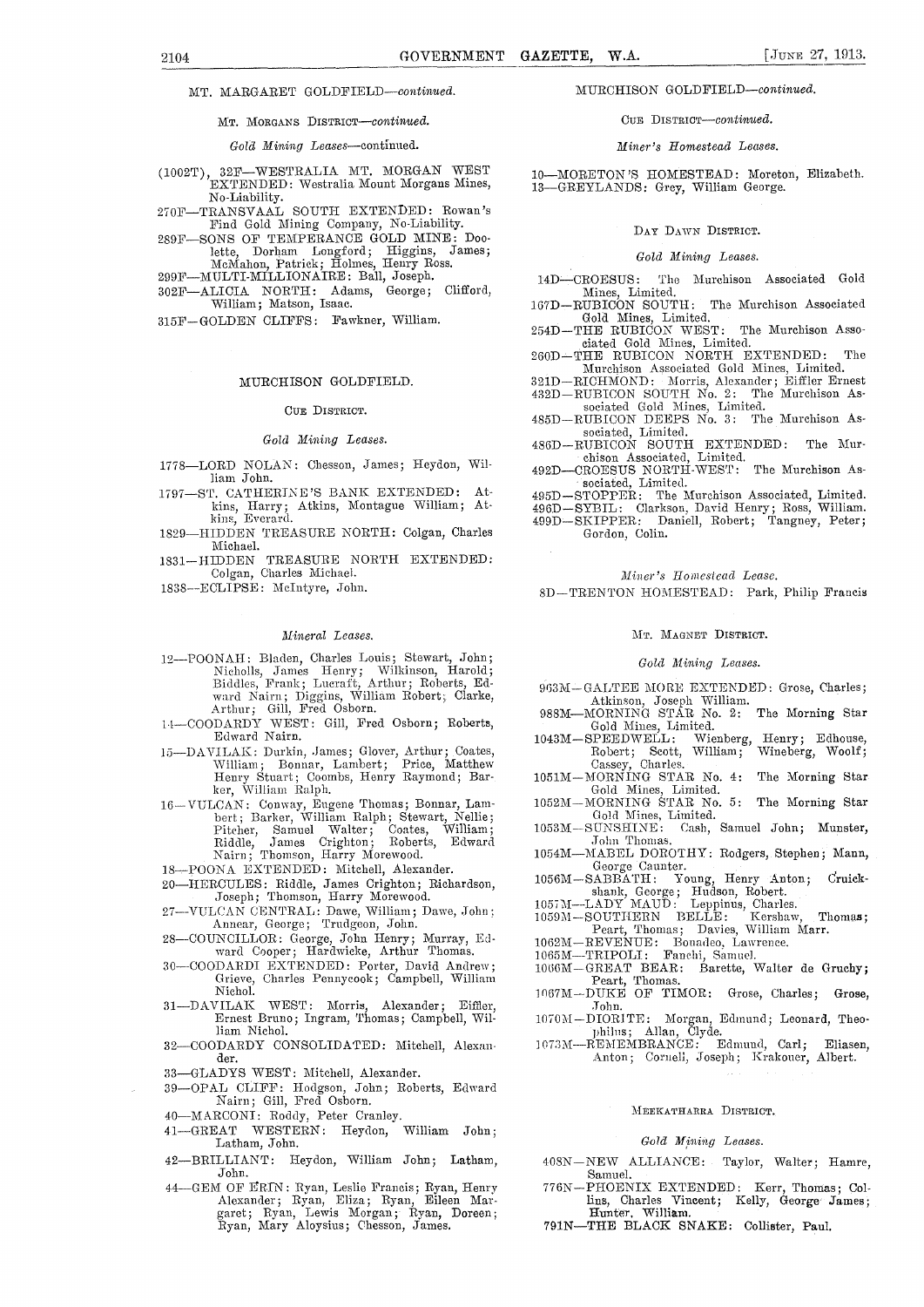MT. MARGARET GOLDFIELD-continued.

MT. MORGANS DISTRICT—continued.

#### *Gold Mining Leases—continued.*

- (1002T), 32F—WESTRALIA. MT. MORGAN WEST EXTENDED: Westralia Mount Morgans Mines, No-Liability.
- 270E—TRANSVAAL SOUTH EXTENDED: Rowan's Find Gold Mining Company, No-Liability.
- 289F—SONS OF TEMPERANCE GOLD MINE: Doolette, Dorham Longford; Higgins, James; McMahon, Patrick; Holmes, Henry Ross.
- 299E—MULTI-MILLIONAIRE: Ball, Joseph.
- 302F—ALICIA NORTH: Adams, George; Clifford, William; Matson, Isaac.
- 315E—GOLDEN CLIFFS: Fawkner, William.

#### MURCHISON GOLDFIELD.

#### CUE DISTRICT.

#### *Gold Mining Leases.*

- 1778—LORD NOLAN: Chesson, James; Heydon, William John.
- 1797—ST. CATHERINE'S BANK EXTENDED: Atkins, Harry; Atkins, Montague William; At-kins, Everard.
- 1S29—HIDDEN TREASURE NORTH: Colgan, Charles Michael.
- 1831—HIDDEN TREASURE NORTH EXTENDED: Colgan, Charles Michael.
- 1838—ECLIPSE: McIntyre, John.

#### *Mineral Leases.*

- 12—POONAH: Bladen, Charles Louis; Stewart, John; Nicholls, James Henry; Wilkinson, Harold; Biddies, Frank; Imeraft; Arthur; Roberts, Edward Nairn; Diggins, William Robert; Clarke, Arthur; Gill, Fred Osborn.
- 11—COODARDY WEST: Gill, Fred Osborn; Roberts, Edward Nairn.
- 15—DAVILAK: Durkin, James; Glover, Arthur; Coates, William; Bonnar, Lambert; Price, Matthew Henry Stuart; Coombs, Henry Raymond; Barker, William Ralph.
- 16—VULCAN: Conway, Eugene Thomas; Bonnar, Lam-bert; Barker, William Ralph; Stewart, Nellie; Pitcher, Samuel Walter; Coates, William; Riddle, James Crighton; Roberts, Edward Nairn; Thomson, Harry Morewood.
- 1S—POONA EXTENDED: Mitchell, Alexander.
- 20—HERCULES: Riddle, James Crighton; Richardson, Joseph; Thomson, Harry Morewood.
- 27-VULCAN CENTRAL: Dawe, William; Dawe, John; Annear, George; Trudgeon, John.
- 28—COUNCILLOR: George, John Henry; Murray, Ed-ward Cooper; Hardwicke, Arthur Thomas.
- 30—COODARDI EXTENDED: Porter, David Andrew; Grieve, Charles Pennycook; Campbell, William
- Nichol.<br>31—DAVILAK WEST: Morris, Alexander; Eiffler, Ernest Bruno; Ingram, Thomas; Campbell, William Nichol.
- 32—COODARDY CONSOLIDATED: Mitchell, Alexander.
- 33—GLADYS WEST: Mitchell, Alexander.
- 39—OPAL CLIFF: Hodgson, John; Roberts, Edward Nairn; Gill, Fred Osborn.
- 
- 40—MARCONI: Roddy, Peter Cranley.<br>41—GREAT WESTERN: Heydon, William John; 41-GREAT WESTERN: Heydon, Latham, John.
- 42—BRILLIANT: Heydon, William John; Latham, John.
- 41 GEM OF ERIN: Ryan, Leslie Francis; Ryan, Henry Alexander; Ryan, Eliza; Ryan, Eileen. Mar-garet; Ryan, Lewis Morgan;-Ryan, Doreen; Ryan, Mary Aloysius; Chesson, James.

#### MURCHISON GOLDFIELD—continued.

#### CUE DISTRICT—continued.

#### *Miner's Homestead Leases.*

10—MORETON 'S HOMESTEAD: Moreton, Elizabeth. 13—GREYLANDS: Grey, William George.

#### DAY DAWN DISTRICT.

#### *Gold Mining Leases.*

14D-CROESUS: The Murchison Associated Gold Mines, Limited.<br>167D—RUBICON SOUTH: The Murchison Associated

Gold Mines, Limited.

254D—THE RUBICON WEST: The Murchison Asso-

ciated Gold Mines, Limited. 260D— THE RUBICON NORTH EXTENDED: The Murchison Associated Gold Mines, Limited. 321D—RICHMOND: Morris, Alexander; Eiffler Ernest

432D—RUBICON SOUTH No. 2: The Murchison As-

sociated Gold MineS, Limited. 485D—RUBICON DEEPS No. 3: The Murchison As-

sociated, Limited. 436D—RUBICON SOUTH EXTENDED: The Murchison Associated, Limited.

492D—CROESUS NORTH-WEST: The Murchison As sociated, Limited.

495D—STOPPER: The Murchison Associated, Limited. 496D—SY13IL: Clarkson, David Henry; Ross, William. 499D— SKIPPER: Daniell, Robert; Tangney, Peter; Gordon, Colin.

#### *Miner's Homestead Lease.*

SD—TRENTON HOMESTEAD: Park, Philip Francis

#### MT. MAGNET DISTRICT.

#### *Gold Mining Leases.*

- 963M-GALTEE MORE EXTENDED: Grose, Charles;
- Atkinson, Joseph William. 988M—MORNING STAR No. 2: The Morning Star
- Gold Mines, Limited. 1043M—SPEEDWELL: Wienberg, Henry; Edhouse, Robert; Scott, William; Wineberg, Woolf;
- Cassey, Charles. 1051M—MORNING STAR No. 4: The Morning Star Gold Mines, Limited. 1052M—MORNING STAR No. 5: The Morning Star
- Gold Mines, Limited.<br>SUNSHINE: Cash,
- 1.053M—SUNSHINE: Cash, Samuel John; Munster, John Thomas.
- 1054M—MABEL DOROTHY: Rodgers, Stephen; Mann, George Gaunter.
- 1056M—SABBATH: Young, Henry Anton; druick-shank, George; Hudson, Robert.
- 
- 1057M--LADY MAUD: Leppinus, Charles. 1059M—SOUTHERN BELLE: Kershaw, Thonias; Peart, Thomas; Davies, William Marr.
- 1062M-REVENUE: Bonadeo, Lawrence.
- 1065M-TRIPOLI: Fanchi, Samuel.
- 1065M—TRIPOLI: Fanchi, Samuel.<br>1066M—GREAT BEAR: Barette, Walter de Gruchy; Peart, Thomas. 1067M—DUKE OF TIMOR: Grose, Charles; Grose,
- John.
- 1070M—DIORITE: Morgan, Edmund; Leonard, Theo-philus; Allan, Clyde.
- 1073M—REMEMBRANCE: Edmund, Carl; Eliasen, Anton; Cornell, Joseph; Krakouer, Albert.

#### MEEKATHARRA DISTRICT.

#### *Gold Mining Leases.*

- 408N-NEW ALLIANCE: Taylor, Walter; Hamre, Samuel.
- 776N—PHOENIX EXTENDED: Kerr, Thomas; Col-lins, Charles Vincent; Kelly, George James ; Hunter, William.
- 791N—THE BLACK SNAKE: Collister, Paul.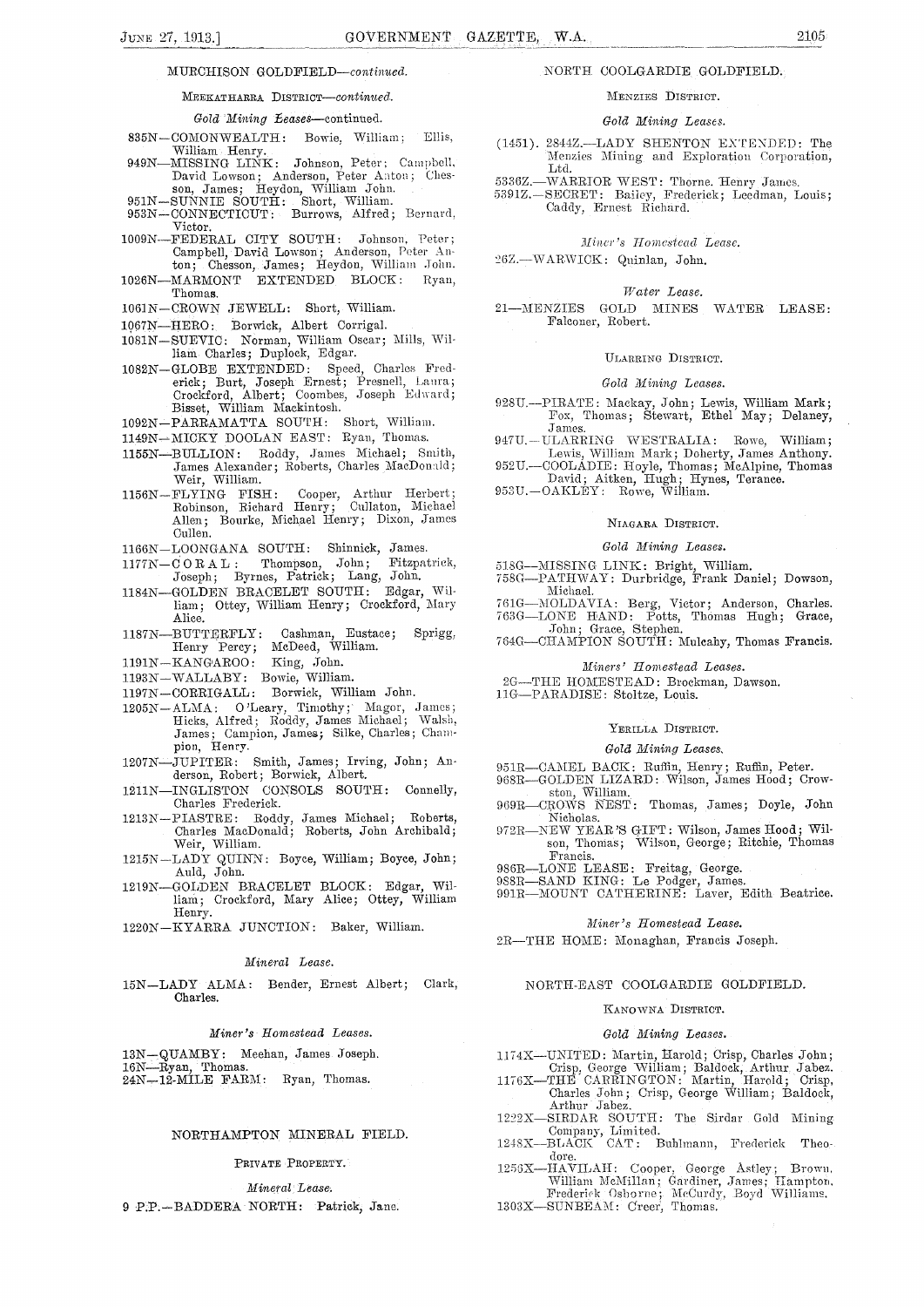#### MURCHISON GOLDFIELD—continued.

#### MEEKATHARRA DISTRICT—continued.

#### *Gold Mining teases—continued.*

- 835N—COMONWEALTH: Bowie, William: Ellis, William Henry.
- 949N—MISSING LINK: Johnson, Peter; Campbell, David Lowson; Anderson, Peter Aaton; Ches-son, James; Heydon, William John.
- 
- 951N—SUNNIE SOUTH: Short, William. 953N—CONNECTICUT: Burrows, Alfred; Bernard, Victor.
- 1009N—FEDERAL CITY SOUTH: Johnson, Peter; Campbell, David Lowson; Anderson, Peter An-ton; Chesson, James; Heydon, William .John.
- 1026N—MARMONT EXTENDED BLOCK: Ryan, Thomas.
- 1061N—CROWN JEWELL: Short, William.
- 1067N—HERO: Borwick, Albert Corrigal.
- 1081N-SUEVIC: Norman, William Oscar; Mills, William Charles; Duplock, Edgar.
- 1082N—GLOBE EXTENDED: Speed, Charles Frederick; Burt, Joseph Ernest; Presnell, Laura;<br>Crockford, Albert; Coombes, Joseph Edward; Crockford, Albert; Coombes, Joseph Edward; Bisset, William Mackintosh.
- 1092N—PARRAMATTA SOUTH: Short, William.
- 1149N-MICKY DOOLAN EAST: Ryan, Thomas.
- 1155N—BULLION: Roddy, James Michael; Smith, James Alexander; Roberts, Charles MacDonald; Weir, William.
- 1156K—FLYING FISH: Cooper, Arthur Herbert; Robinson, Richard Henry; Cullaton, Michael Allen; Bourke, Michael Henry; Dixon, James Cullen.
- 1166N—LOONGANA SOUTH: Shinnick, James.
- 1177N—C ORAL: Thompson, John; Fitzpatrick, Joseph; Byrnes, Patrick; Lang, John.
- 1184N—GOLDEN BRACELET SOUTH: Edgar, William; Ottey, William Henry; Crockford, Mary Alice.
- 1187N—BUTTERFLY: Cashman, Eustace; Sprigg, Henry Percy; McDeed, William.
- 1191N—KANGAROO: King, John.
- 1193N—WALLABY• Bowie, William.
- 1197N—CORRIGALL: Borwick, William John.
- 1205N-ALMA: O'Leary, Timothy; Magor, James;
- Hicks, Alfred; Roddy, James Michael; Walsh, James; Campion, James; Silke, Charles; Champion, Henry.
- 1207N-JUPITER: Smith, James; Irving, John; An-' derson, Robert; Borwick, Albert.
- 1211N—INGLISTON CONSOLS SOUTH: Connelly, Charles Frederick.
- 1213N—PIASTRE: Roddy, James Michael; Roberts, Charles MacDonald; Roberts, John Archibald; Weir, William.
- 1215N—LADY QUINN: Boyce, William; Boyce, John; Auld, John.
- 1219N—GOLDEN BRACELET BLOCK: Edgar, Williani; Crockford, Mary Alice; Ottey, William Henry.
- 1220N—KYARRA JUNCTION: Baker, William.

#### *Mineral Lease.*

15N—LADY ALMA: Bender, Ernest Albert; Clark, Charles.

#### *Miner's Homestead Leases.*

13N—QUAMBY: Meehan, James Joseph.

16N—Ryan, Thomas. 24N-12-MILE FARM: Ryan, Thomas.

#### NORTHAMPTON MINERAL FIELD.

#### PRIVATE PROPERTY.

# *Mineral Lease.*

9 P.P.—BADDERA NORTH: Patrick, Jane.

#### NORTH COOLGARDIE GOLDFIELD.

#### MENZIES DISTRICT.

#### *Gold Mining Leases.*

- (1451). 2844Z.—LADY SHENTON EXTENDED: The Menzies Mining and Exploration Corporation, Ltd.
- 5336Z.-WARRIOR WEST: Thorne. Henry James.
- 53912.—SECRET: Bailey, Frederick; Leedman, Louis; Caddy, Ernest Richard.

#### *lliucr's Homestead Lease.*

26Z.-WARWICK: Quinlan, John.

#### *Water Lease.*

21—MENZIES GOLD MINES WATER LEASE: Falconer, Robert.

#### ULARRING DISTRICT.

#### *Gold Mining Leases.*

- 928U.—PIRATE: Mackay, John; Lewis, William Mark; Fox, Thomas; Stewart, Ethel May; Delaney, James.
- 947U.—ULARRING WESTRALIA: Rowe, William;
- Lewis, William Mark; Doherty, James Anthony. 952U.—COOLADIE: Hoyle, Thomas; McAlpine, Thomas David; Aitken, Thigh; Hynes, Terance.
- 953U.—OAKLEY: Rowe, William.

#### NIAGARA DISTRICT.

#### *Gold Mining Leases.*

## 518G—MISSING LINK: Bright, William.

- 758G--PATHWAY: Durbridge, Frank Daniel; Dowson,
- Michael. 761G—MOLDAVIA: Berg, Victor; Anderson, Charles. 763G—LONE HAND: Potts, Thomas Hugh; Grace,
- John; Grace, Stephen. 764G—CHAMPION SOUTH: Mulcahy, Thomas Francis.

#### *Miners' Homestead Leases.*

- 2G—THE HOMESTEAD: Brockman, Dawson.
- 110—PARADISE: Stoltze, Louis.

#### YERILLA DISTRICT.

#### *Gold Mining Leases,*

- 951R—CAMEL BACK: Ruffin, Henry; Ruffin, Peter.
- 968R-GOLDEN LIZARD: Wilson, James Hood; Crow-
- ston, 969R—CROWS NEST: Thomas, James; Doyle, John Nicholas.
- 972R—NEW YEAR'S GIFT: Wilson, James Hood; Wilson, Thonias; Wilson, George; Ritchie, Thomas Francis.
- 986R—LONE LEASE: Freitag, George.
- 988R—SAND KING: Le Podger, James.
- 991R—MOUNT CATHERINE: Laver, Edith Beatrice.

#### *Miner's Homestead Lease.*

2R—THE HOME: Monaghan, Francis Joseph.

#### N ORTH-EAST COOLGARDIE GOLDFIELD.

#### KANOWNA DISTRICT.

#### *Gold Mining Leases.*

1174X—UNITED: Martin, Harold; Crisp, Charles John;

- Crisp, George William; Baldock, Arthur Jabez. 1176X—THE C-ARRINGTON: Martin, Harold; Crisp, Charles John; Crisp, George William; Baldock,
- Arthur Jabez. 1222X—SIRDAR SOUTH: The Sirdar Gold Mining Company, Limited. 1248X--BLACK CAT : Buhlmann, Frederick Theo-
- 

dore. 1256X—IIAVILAII: Cooper, George Astiley; Brown, William McMillan; Gardiner, James; Hampton.<br>Frederick Osborne; McCurdy, Boyd Williams.

1303X-SUNBEAM: Creer, Thomas.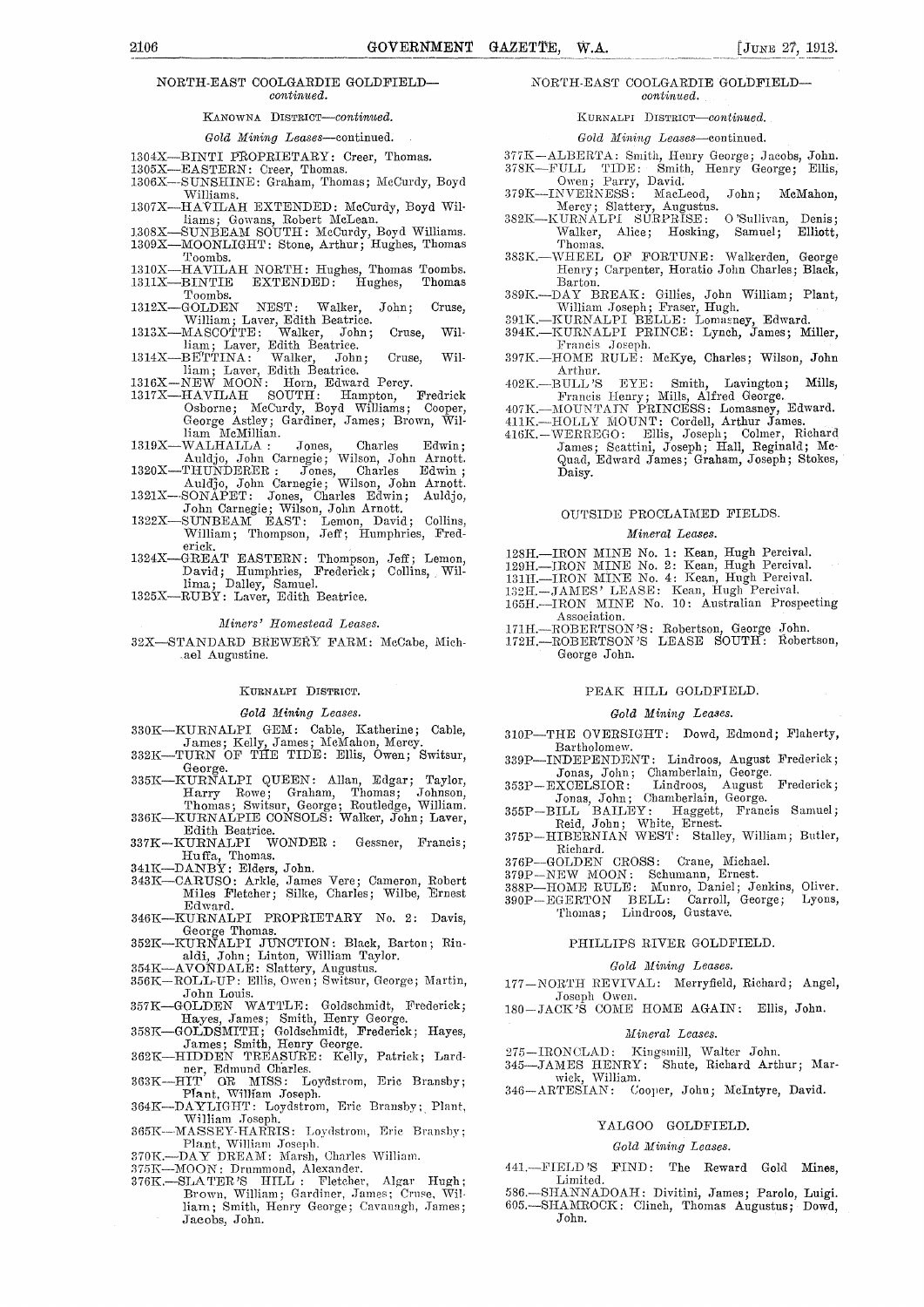#### NORTH-EAST COOLGARDIE GOLDFIELD *continued.*

#### KANOWNA DISTRICT—continued.

#### *Gold Mining Leases—continued.*

- 1304X—BINTI PROPRIETARY: Creer, Thomas.<br>1305X—EASTERN: Creer, Thomas.
- 1305X—EASTERN: Creer, Thomas.
- 1306X--SUNSHINE: Graham, Thomas; McCurdy, Boyd Williams. 1307X—HAVILAH EXTENDED: McCurdy, Boyd Wil-
- liams; Gowans, Robert McLean. 1308X—SUNBEAM SOUTH: McCurdy, Boyd Williams.
- 1309X—MOONLIGHT: Stone, Arthur; Hughes, Thomas Toombs.
- 1310X—HAVILAH NORTH: Hughes, Thomas Toombs. 1311X—BINTIE EXTENDED: Hughes, Thomas
- $\begin{array}{c} \text{Tcombs.}\\ 1312\text{X--GOLDEN} \end{array}$ 1312X—GOLDEN NEST: Walker, John; Cruse,<br>
William; Laver, Edith Beatrice.<br>
1313X—MASCOTTE: Walker, John; Cruse, Wil-
- liam; Laver, Edith Beatrice.
- 
- 
- 1314X—BETTINA: Walker, John; Cruse, Wil-<br>
1316X—NEW MOON: Horn, Edward Percy.<br>
1317X—HAVILAH SOUTH: Hampton, Fredrick<br>
Osborne; McCurdy, Boyd Williams; Cooper, George Astley; Gardiner, James; Brown, William McMillian.
- 1319X—WALHALLA : Jones, Charles Edwin;<br>
Auddo, John Carnegie; Wilson, John Arnott.<br>
1900X THERE ISLE EDWING
- Auldjo, John Carnegie; Wilson, John Arnott. 1320X—THUNDERER : Jones, Charles Edwin Auldjo, John Carnegie; Wilson, John Arnott. 1321X--SONAPET: Jones, Charles Edwin; Auldjo,
- 
- John Carnegie; Wilson, John Arnott. 1322X—SUNBEAM EAST: Lemon, David; Collins, William; Thompson, Jeff; Humphries, Fred-
- erick.<br>
1324X—GREAT EASTERN: Thompson, Jeff; Lemon,<br>
David; Humphries, Frederick; Collins, Willima; Dailey, Samuel.
- 1325X—RUBY: Laver, Edith Beatrice.

#### *Miners' Homestead Leases.*

32X—STANDARD BREWERY FARM: McCabe, Michael Augustine.

#### KURNALPI DISTRICT.

#### *Gold Mining Leases.*

- 330K—KURNALPI GEM: Cable, Katherine; Cable, James; Kelly, James; McMahon, Mercy. 332K—TURN OF THE TIDE: Ellis, Owen; Switsur,
- 
- George. 335K—KURNALPI QUEEN: Allan, Edgar; Taylor, Harry Rowe; Graham, Thomas; Johnson, Thomas; Switsur, George; Routledge, William.
- 336K—KURNALPIE CONSOLS: Walker, John; Laver,
- Edith Beatrice. 337K—KURNALPI WONDER : Gessner, Francis; Huffa, Thomas.
- 341K—DANBY: Elders, John.
- 343K—CARUSO: Arkle, James Vere; Cameron, Robert Miles Fletcher; Sillte, Charles; Wilbe, Ernest Edward.
- 346K—KURNALPI PROPRIETARY No. 2: Davis, George Thomas. 352K—KURNALPI JUNCTION: Black, Barton; Rin-
- aldi, John; Linton, William Taylor.
- 
- 354K—AVONDALE: Slattery, Augustus. 356K—ROLL-UP: Ellis, Owen; Switsur, George; Martin, John Louis. 357K—GOLDEN WATTLE: Goldschmidt, Frederick;
- Hayes, James; Smith, Henry George.
- 358K—GOLDSMITH; Goldschmidt, Frederick; Hayes, James; Smith, Henry George. 362K—HIDDEN TREASURE: Kelly, Patrick; Lard-
- 
- ner, Edmund Charles.<br>
363K-HIT OR MISS: Loydstrom, Eric Bransby;<br>
Plant, William Joseph.
- 364K—DAYLIGHT: Loydstrom, Eric Bransby;, Plant,
- William Joseph. 365K—MASSEY-HARRIS: Loydstrom, Eric Dransby; Plant, William Joseph. 370K.—DAY DREAM: Marsh, Charles William.
- 
- 
- 375K—MOON: Drummond, Alexander. 376K.—SLA TER 'S HILL : Fletcher, Algae Hugh; Brown, William; Gardiner, Janice; Cruse, William; Smith, Henry George; Cavanagh, James; Jacobs, John.

#### NORTH-EAST COOLGARDIE GOLDFIELD *continued.*

KURNALPI DISTRICT—continued.

*Gold Mining Leases—continued.* 

- 
- 377K—ALI3ERTA: Smith, Henry George; Jacobs, John. 378K—FULL TIDE: Smith, Henry George; Ellis, Owen; Parry, David. 379K—INVERNESS : MacLeod, John ; McMahon,
- 
- Mercy; Slattery, Augustus. 3S2K—KURNALPI SURPRISE: O'Sullivan, Denis; Walker, Alice; Hosking, Samuel; Elliott, Thomas.
- 383K.—WHEEL OF FORTUNE: Walkerden, George Henry; Carpenter, Horatio John Charles; Black, Barton.
- 389K.—DAY BREAK: Gillies, John William; Plant, William Joseph; Fraser, Hugh.
- 391K.—KURNALPI BELLE: Lomasney, Edward. 394K.—KURNALPI PRINCE: Lynch, James; Miller,
- Francis Joseph.
- 397K.—HOME RULE: McKye, Charles; Wilson, John Arthur.
- 402K.--BULL'S EYE: Smith, Lavington; Mills, Francis Henry; Mills, Alfred George.
- 407K.—MOUNTAIN PRINCESS: Lomasney, Edward.
- 
- 411K.—HOLLY MOUNT: Cordell, Arthur James. 416K.—WERREGO: Ellis, Joseph; Cohner, Richard James; Scattini, Joseph; Hall, Reginald; Mc-Quad, Edward James; Graham, Joseph; Stokes, Daisy.

#### OUTSIDE PROCLAIMED FIELDS.

#### *Mineral Leases.*

- 128H.—IRON MINE No. 1: Kean, Hugh Percival.
- 12911.—IRON MINE No. 2: Kean, Hugh Percival.
- 
- 13111.—IRON MINE No. 4: Kean, Hugh Percival. 1321L—JAMES' LEASE: Kean, Hugh Percival.
- 165H. IRON MINE No. 10: Australian Prospecting Association.
- 171H.—ROBERTSON'S: Robertson, George John. 17211.—ROBERTSON'S LEASE SOUTH: Robertson, George John.

# PEAK HILL GOLDFIELD.

### *Gold Mining Leases.*

- 310P—THE OVERSIGHT: Dowd, Edmond; Flaherty, Bartholomew.
- 339P—INDEPENDENT: Lindroos, August Frederick; Jonas, John; Chamberlain, George. 353P—EXCELSIOR: Lindroos, August Frederick;
- Jonas, John; Chamberlain, George. 355P—BILL BAILEY: Haggett, Francis Samuel;
- Reid, John; White, Ernest.
- 375P—HIBERNIAN WEST: Stalley, William; Butler, Richard.
- 376P—GOLDEN CROSS: Crane, Michael. 379P—NEW MOON: Schumann, Ernest.
- 
- 388P—HOME RULE: Munro, Daniel; Jenkins, Oliver. 3988P-HOMERULE: Munro, Daniel; Jenkins, Oliver.<br>390P-EGERTON BELL: Carroll, George; Lyons, GERTON BELL: Carroll,<br>Thomas; Lindroos, Gustave.
	-

#### PHILLIPS RIVER GOLDFIELD.

#### *Gold Mining Leases.*

- *177—NORTIT* REVIVAL: Merryfield, Richard; Angel,
- Joseph Owen. 180—JACK'S COME HOME AGAIN: Ellis, John.

#### *Mineral Leases.*

275—IRONCLAD: Kingsmill, Walter John.

345—JAMES HENRY: Shute, Richard Arthur; Marwick, William.

346—ARTESIAN: Cooper, John; McIntyre, David.

#### YALGOO GOLDFIELD.

#### *Gold Mining Leases.*

441.—FIELD'S FIND: The Reward Gold Mines, Limited.

586.—SHANNADOATI: Divitini, James; Parolo, Luigi. 605.—SHAMROCK: Clinch, Thomas Augustus; Dowd, John.